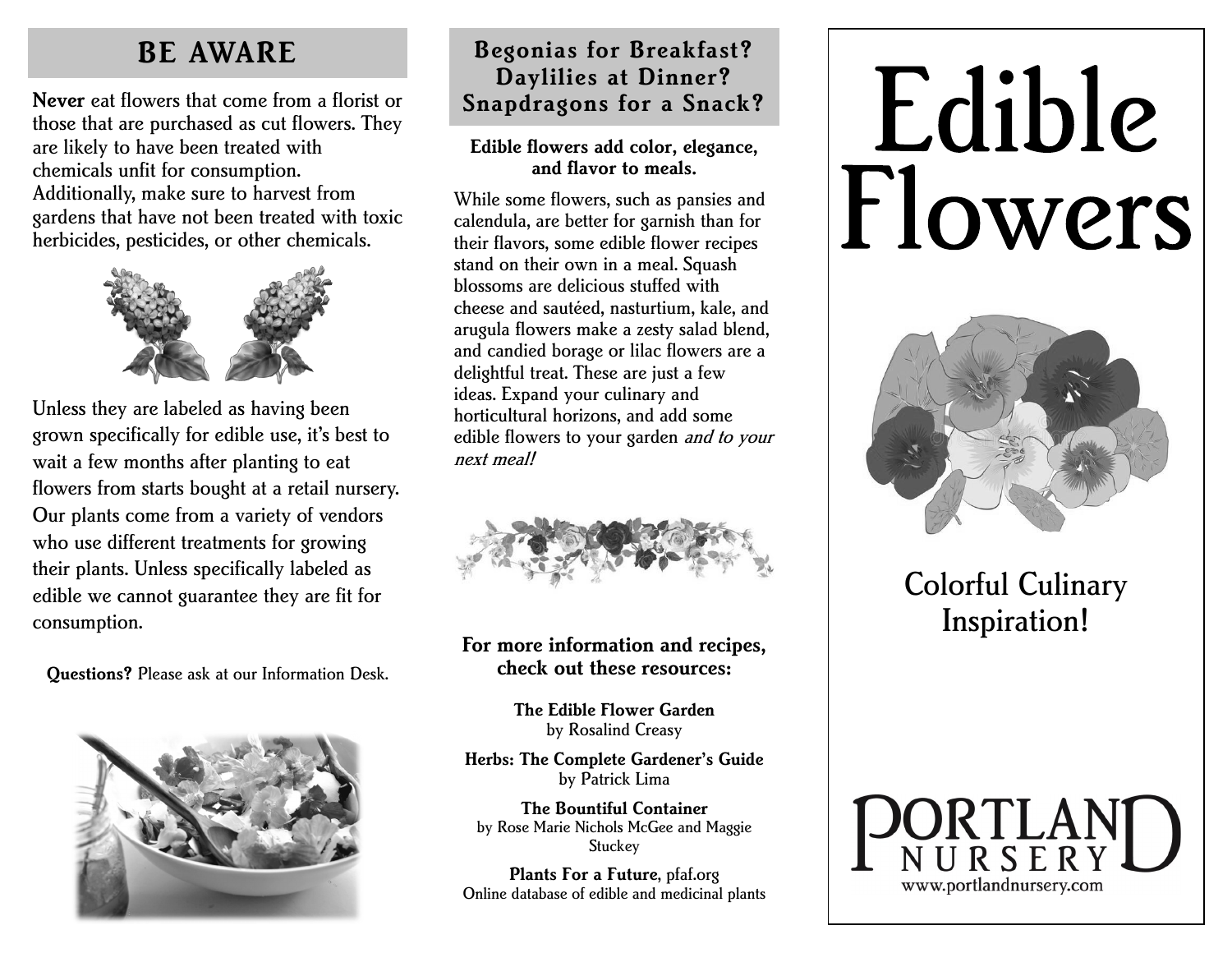## **BE AWARE**

**Never** eat flowers that come from a florist or **Snapdragons for a Snack?** those that are purchased as cut flowers. They are likely to have been treated with chemicals unfit for consumption. Additionally, make sure to harvest from gardens that have not been treated with toxic herbicides, pesticides, or other chemicals.



Unless they are labeled as having been grown specifically for edible use, it's best to wait a few months after planting to eat flowers from starts bought at a retail nursery. Our plants come from a variety of vendors who use different treatments for growing their plants. Unless specifically labeled as edible we cannot guarantee they are fit for consumption.

**Questions?** Please ask at our Information Desk.



# **Begonias for Breakfast? Daylilies at Dinner?**

#### **Edible flowers add color, elegance, and flavor to meals.**

While some flowers, such as pansies and calendula, are better for garnish than for their flavors, some edible flower recipes stand on their own in a meal. Squash blossoms are delicious stuffed with cheese and sautéed, nasturtium, kale, and arugula flowers make a zesty salad blend, and candied borage or lilac flowers are a delightful treat. These are just a few ideas. Expand your culinary and horticultural horizons, and add some edible flowers to your garden *and to your* next meal!



#### **For more information and recipes, check out these resources:**

**The Edible Flower Garden**  by Rosalind Creasy

**Herbs: The Complete Gardener's Guide**  by Patrick Lima

**The Bountiful Container**  by Rose Marie Nichols McGee and Maggie **Stuckey** 

**Plants For a Future**, pfaf.org Online database of edible and medicinal plants

# Edible Flowers



Colorful Culinary Inspiration!